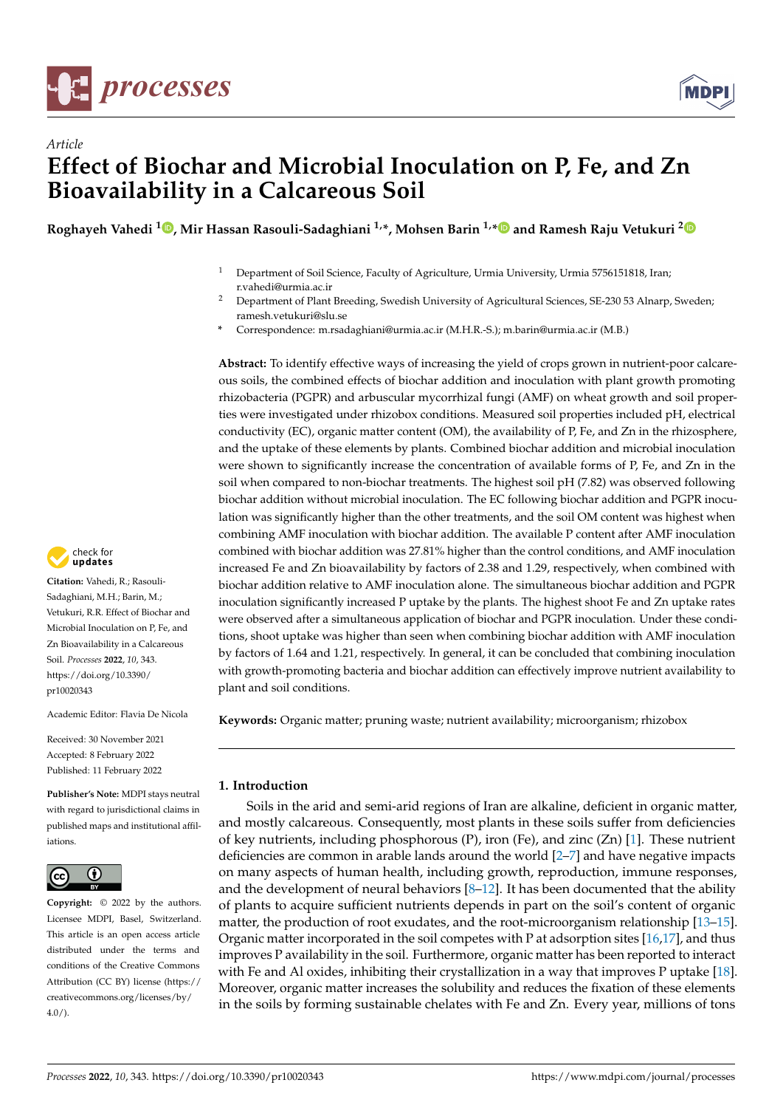

*Article*



# **Effect of Biochar and Microbial Inoculation on P, Fe, and Zn Bioavailability in a Calcareous Soil**

**Roghayeh Vahedi <sup>1</sup> [,](https://orcid.org/0000-0001-7670-9735) Mir Hassan Rasouli-Sadaghiani 1,\*, Mohsen Barin 1,[\\*](https://orcid.org/0000-0003-0822-7050) and Ramesh Raju Vetukuri [2](https://orcid.org/0000-0001-7129-5326)**

- <sup>1</sup> Department of Soil Science, Faculty of Agriculture, Urmia University, Urmia 5756151818, Iran; r.vahedi@urmia.ac.ir
- <sup>2</sup> Department of Plant Breeding, Swedish University of Agricultural Sciences, SE-230 53 Alnarp, Sweden; ramesh.vetukuri@slu.se
- **\*** Correspondence: m.rsadaghiani@urmia.ac.ir (M.H.R.-S.); m.barin@urmia.ac.ir (M.B.)

**Abstract:** To identify effective ways of increasing the yield of crops grown in nutrient-poor calcareous soils, the combined effects of biochar addition and inoculation with plant growth promoting rhizobacteria (PGPR) and arbuscular mycorrhizal fungi (AMF) on wheat growth and soil properties were investigated under rhizobox conditions. Measured soil properties included pH, electrical conductivity (EC), organic matter content (OM), the availability of P, Fe, and Zn in the rhizosphere, and the uptake of these elements by plants. Combined biochar addition and microbial inoculation were shown to significantly increase the concentration of available forms of P, Fe, and Zn in the soil when compared to non-biochar treatments. The highest soil pH (7.82) was observed following biochar addition without microbial inoculation. The EC following biochar addition and PGPR inoculation was significantly higher than the other treatments, and the soil OM content was highest when combining AMF inoculation with biochar addition. The available P content after AMF inoculation combined with biochar addition was 27.81% higher than the control conditions, and AMF inoculation increased Fe and Zn bioavailability by factors of 2.38 and 1.29, respectively, when combined with biochar addition relative to AMF inoculation alone. The simultaneous biochar addition and PGPR inoculation significantly increased P uptake by the plants. The highest shoot Fe and Zn uptake rates were observed after a simultaneous application of biochar and PGPR inoculation. Under these conditions, shoot uptake was higher than seen when combining biochar addition with AMF inoculation by factors of 1.64 and 1.21, respectively. In general, it can be concluded that combining inoculation with growth-promoting bacteria and biochar addition can effectively improve nutrient availability to plant and soil conditions.

**Keywords:** Organic matter; pruning waste; nutrient availability; microorganism; rhizobox

#### **1. Introduction**

Soils in the arid and semi-arid regions of Iran are alkaline, deficient in organic matter, and mostly calcareous. Consequently, most plants in these soils suffer from deficiencies of key nutrients, including phosphorous  $(P)$ , iron  $(Fe)$ , and zinc  $(Zn)$  [\[1\]](#page-10-0). These nutrient deficiencies are common in arable lands around the world [\[2](#page-10-1)[–7\]](#page-10-2) and have negative impacts on many aspects of human health, including growth, reproduction, immune responses, and the development of neural behaviors  $[8-12]$  $[8-12]$ . It has been documented that the ability of plants to acquire sufficient nutrients depends in part on the soil's content of organic matter, the production of root exudates, and the root-microorganism relationship [\[13](#page-11-1)[–15\]](#page-11-2). Organic matter incorporated in the soil competes with P at adsorption sites [\[16](#page-11-3)[,17\]](#page-11-4), and thus improves P availability in the soil. Furthermore, organic matter has been reported to interact with Fe and Al oxides, inhibiting their crystallization in a way that improves P uptake [\[18\]](#page-11-5). Moreover, organic matter increases the solubility and reduces the fixation of these elements in the soils by forming sustainable chelates with Fe and Zn. Every year, millions of tons



**Citation:** Vahedi, R.; Rasouli-Sadaghiani, M.H.; Barin, M.; Vetukuri, R.R. Effect of Biochar and Microbial Inoculation on P, Fe, and Zn Bioavailability in a Calcareous Soil. *Processes* **2022**, *10*, 343. [https://doi.org/10.3390/](https://doi.org/10.3390/pr10020343) [pr10020343](https://doi.org/10.3390/pr10020343)

Academic Editor: Flavia De Nicola

Received: 30 November 2021 Accepted: 8 February 2022 Published: 11 February 2022

**Publisher's Note:** MDPI stays neutral with regard to jurisdictional claims in published maps and institutional affiliations.



**Copyright:** © 2022 by the authors. Licensee MDPI, Basel, Switzerland. This article is an open access article distributed under the terms and conditions of the Creative Commons Attribution (CC BY) license [\(https://](https://creativecommons.org/licenses/by/4.0/) [creativecommons.org/licenses/by/](https://creativecommons.org/licenses/by/4.0/)  $4.0/$ ).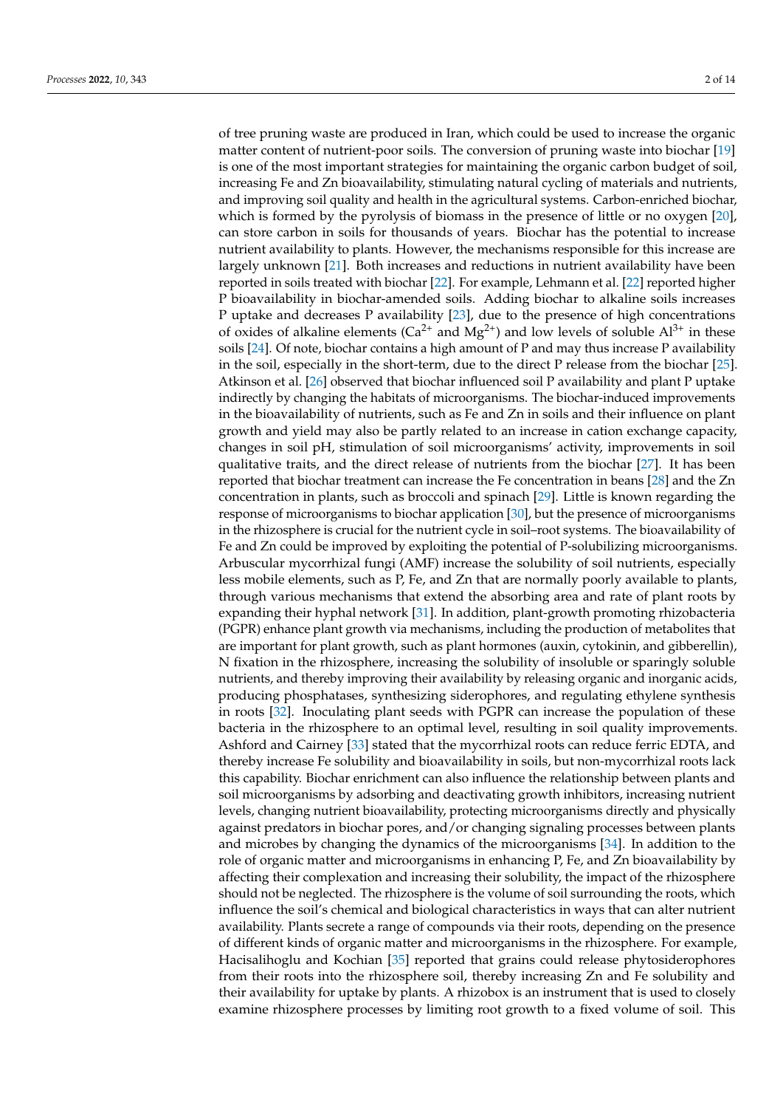of tree pruning waste are produced in Iran, which could be used to increase the organic matter content of nutrient-poor soils. The conversion of pruning waste into biochar [\[19\]](#page-11-6) is one of the most important strategies for maintaining the organic carbon budget of soil, increasing Fe and Zn bioavailability, stimulating natural cycling of materials and nutrients, and improving soil quality and health in the agricultural systems. Carbon-enriched biochar, which is formed by the pyrolysis of biomass in the presence of little or no oxygen [\[20\]](#page-11-7), can store carbon in soils for thousands of years. Biochar has the potential to increase nutrient availability to plants. However, the mechanisms responsible for this increase are largely unknown [\[21\]](#page-11-8). Both increases and reductions in nutrient availability have been reported in soils treated with biochar [\[22\]](#page-11-9). For example, Lehmann et al. [\[22\]](#page-11-9) reported higher P bioavailability in biochar-amended soils. Adding biochar to alkaline soils increases P uptake and decreases P availability [\[23\]](#page-11-10), due to the presence of high concentrations of oxides of alkaline elements ( $Ca^{2+}$  and  $Mg^{2+}$ ) and low levels of soluble  $Al^{3+}$  in these soils [\[24\]](#page-11-11). Of note, biochar contains a high amount of P and may thus increase P availability in the soil, especially in the short-term, due to the direct P release from the biochar [\[25\]](#page-11-12). Atkinson et al. [\[26\]](#page-11-13) observed that biochar influenced soil P availability and plant P uptake indirectly by changing the habitats of microorganisms. The biochar-induced improvements in the bioavailability of nutrients, such as Fe and Zn in soils and their influence on plant growth and yield may also be partly related to an increase in cation exchange capacity, changes in soil pH, stimulation of soil microorganisms' activity, improvements in soil qualitative traits, and the direct release of nutrients from the biochar [\[27\]](#page-11-14). It has been reported that biochar treatment can increase the Fe concentration in beans [\[28\]](#page-11-15) and the Zn concentration in plants, such as broccoli and spinach [\[29\]](#page-11-16). Little is known regarding the response of microorganisms to biochar application [\[30\]](#page-11-17), but the presence of microorganisms in the rhizosphere is crucial for the nutrient cycle in soil–root systems. The bioavailability of Fe and Zn could be improved by exploiting the potential of P-solubilizing microorganisms. Arbuscular mycorrhizal fungi (AMF) increase the solubility of soil nutrients, especially less mobile elements, such as P, Fe, and Zn that are normally poorly available to plants, through various mechanisms that extend the absorbing area and rate of plant roots by expanding their hyphal network [\[31\]](#page-11-18). In addition, plant-growth promoting rhizobacteria (PGPR) enhance plant growth via mechanisms, including the production of metabolites that are important for plant growth, such as plant hormones (auxin, cytokinin, and gibberellin), N fixation in the rhizosphere, increasing the solubility of insoluble or sparingly soluble nutrients, and thereby improving their availability by releasing organic and inorganic acids, producing phosphatases, synthesizing siderophores, and regulating ethylene synthesis in roots [\[32\]](#page-11-19). Inoculating plant seeds with PGPR can increase the population of these bacteria in the rhizosphere to an optimal level, resulting in soil quality improvements. Ashford and Cairney [\[33\]](#page-11-20) stated that the mycorrhizal roots can reduce ferric EDTA, and thereby increase Fe solubility and bioavailability in soils, but non-mycorrhizal roots lack this capability. Biochar enrichment can also influence the relationship between plants and soil microorganisms by adsorbing and deactivating growth inhibitors, increasing nutrient levels, changing nutrient bioavailability, protecting microorganisms directly and physically against predators in biochar pores, and/or changing signaling processes between plants and microbes by changing the dynamics of the microorganisms [\[34\]](#page-11-21). In addition to the role of organic matter and microorganisms in enhancing P, Fe, and Zn bioavailability by affecting their complexation and increasing their solubility, the impact of the rhizosphere should not be neglected. The rhizosphere is the volume of soil surrounding the roots, which influence the soil's chemical and biological characteristics in ways that can alter nutrient availability. Plants secrete a range of compounds via their roots, depending on the presence of different kinds of organic matter and microorganisms in the rhizosphere. For example, Hacisalihoglu and Kochian [\[35\]](#page-11-22) reported that grains could release phytosiderophores from their roots into the rhizosphere soil, thereby increasing Zn and Fe solubility and their availability for uptake by plants. A rhizobox is an instrument that is used to closely examine rhizosphere processes by limiting root growth to a fixed volume of soil. This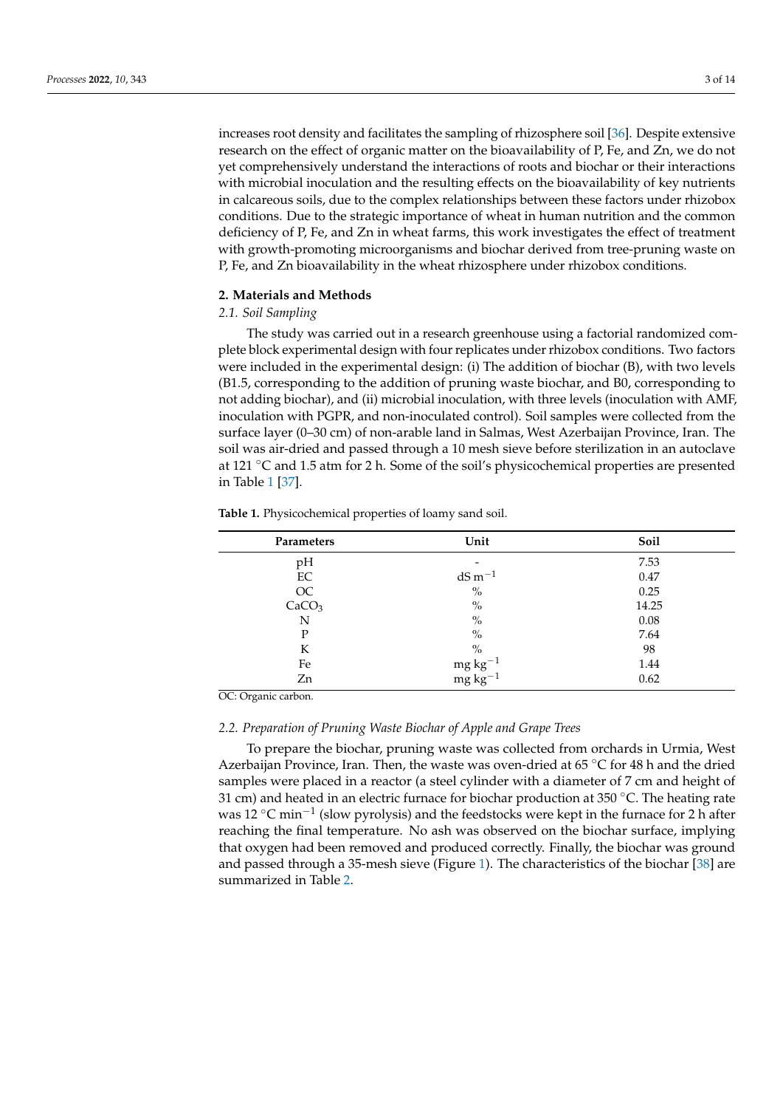increases root density and facilitates the sampling of rhizosphere soil [\[36\]](#page-11-23). Despite extensive research on the effect of organic matter on the bioavailability of P, Fe, and Zn, we do not yet comprehensively understand the interactions of roots and biochar or their interactions with microbial inoculation and the resulting effects on the bioavailability of key nutrients in calcareous soils, due to the complex relationships between these factors under rhizobox conditions. Due to the strategic importance of wheat in human nutrition and the common deficiency of P, Fe, and Zn in wheat farms, this work investigates the effect of treatment with growth-promoting microorganisms and biochar derived from tree-pruning waste on P, Fe, and Zn bioavailability in the wheat rhizosphere under rhizobox conditions.

#### **2. Materials and Methods**

#### *2.1. Soil Sampling*

The study was carried out in a research greenhouse using a factorial randomized complete block experimental design with four replicates under rhizobox conditions. Two factors were included in the experimental design: (i) The addition of biochar (B), with two levels (B1.5, corresponding to the addition of pruning waste biochar, and B0, corresponding to not adding biochar), and (ii) microbial inoculation, with three levels (inoculation with AMF, inoculation with PGPR, and non-inoculated control). Soil samples were collected from the surface layer (0–30 cm) of non-arable land in Salmas, West Azerbaijan Province, Iran. The soil was air-dried and passed through a 10 mesh sieve before sterilization in an autoclave at 121 ◦C and 1.5 atm for 2 h. Some of the soil's physicochemical properties are presented in Table [1](#page-2-0) [\[37\]](#page-11-24).

<span id="page-2-0"></span>**Table 1.** Physicochemical properties of loamy sand soil.

| <b>Parameters</b> | Unit                                                                                           | Soil     |  |
|-------------------|------------------------------------------------------------------------------------------------|----------|--|
| pH                |                                                                                                | 7.53     |  |
| EC                | $dS m^{-1}$                                                                                    | 0.47     |  |
| $\rm OC$          | $\%$                                                                                           | 0.25     |  |
| CaCO <sub>3</sub> | $\%$                                                                                           | 14.25    |  |
| N                 | $\%$                                                                                           | $0.08\,$ |  |
| P                 | $\frac{0}{0}$                                                                                  | 7.64     |  |
| К                 | $\%$                                                                                           | 98       |  |
| Fe                |                                                                                                | 1.44     |  |
| Zn                | $\begin{array}{c} \mathbf{mg}\; \mathbf{kg}^{-1}\\ \mathbf{mg}\; \mathbf{kg}^{-1} \end{array}$ | 0.62     |  |

OC: Organic carbon.

#### *2.2. Preparation of Pruning Waste Biochar of Apple and Grape Trees*

To prepare the biochar, pruning waste was collected from orchards in Urmia, West Azerbaijan Province, Iran. Then, the waste was oven-dried at 65 °C for 48 h and the dried samples were placed in a reactor (a steel cylinder with a diameter of 7 cm and height of 31 cm) and heated in an electric furnace for biochar production at 350 °C. The heating rate was 12 °C min<sup>-1</sup> (slow pyrolysis) and the feedstocks were kept in the furnace for 2 h after reaching the final temperature. No ash was observed on the biochar surface, implying that oxygen had been removed and produced correctly. Finally, the biochar was ground and passed through a 35-mesh sieve (Figure [1\)](#page-3-0). The characteristics of the biochar [\[38\]](#page-11-25) are summarized in Table [2.](#page-3-1)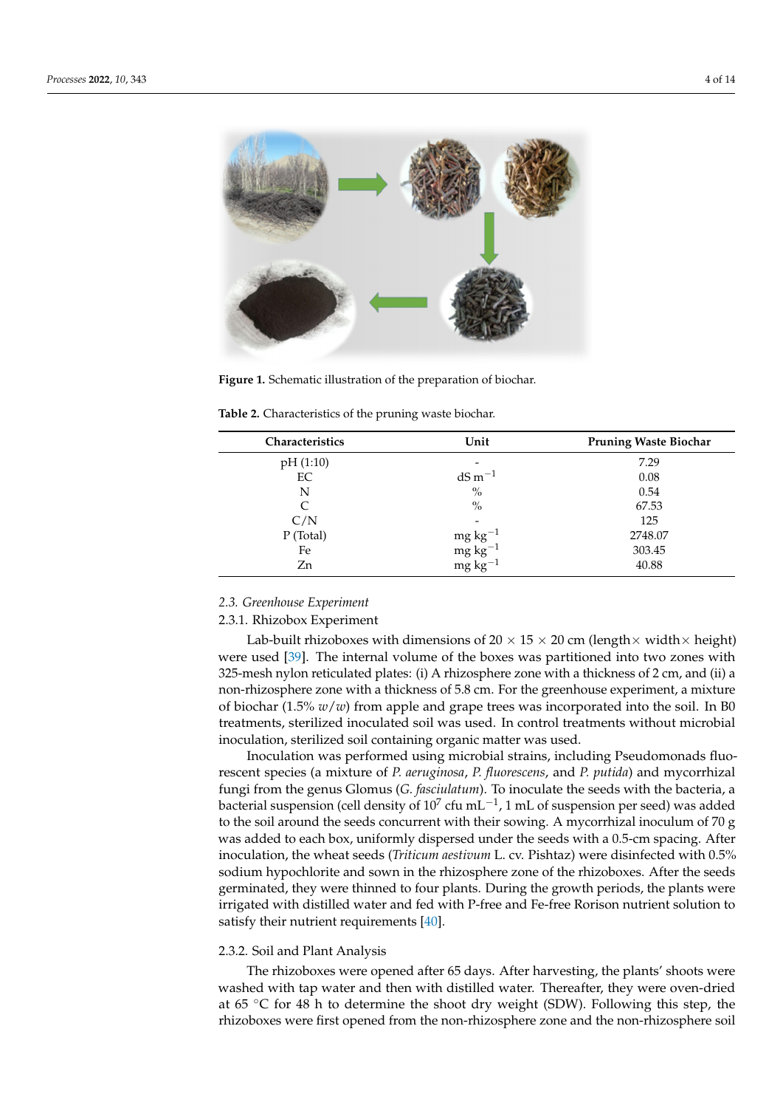<span id="page-3-0"></span>

**Figure 1.** Schematic illustration of the preparation of biochar. **Figure 1.** Schematic illustration of the preparation of biochar.

| <b>Characteristics</b> | Unit                                                                                                                            | <b>Pruning Waste Biochar</b> |
|------------------------|---------------------------------------------------------------------------------------------------------------------------------|------------------------------|
| pH(1:10)               |                                                                                                                                 | 7.29                         |
| EC                     | $dS m^{-1}$                                                                                                                     | 0.08                         |
| N                      | $\%$                                                                                                                            | 0.54                         |
|                        | $\%$                                                                                                                            | 67.53                        |
| C/N                    |                                                                                                                                 | 125                          |
| P (Total)              |                                                                                                                                 | 2748.07                      |
| Fe                     |                                                                                                                                 | 303.45                       |
| Zn                     | $\begin{array}{l} \mathsf{mg}\, \mathsf{kg}^{-1}\\ \mathsf{mg}\, \mathsf{kg}^{-1}\\ \mathsf{mg}\, \mathsf{kg}^{-1} \end{array}$ | 40.88                        |

<span id="page-3-1"></span>**Table 2.** Characteristics of the pruning waste biochar. **Table 2.** Characteristics of the pruning waste biochar.

### 2.3. Greenhouse Experiment

#### 2.3.1. Rhizobox Experiment

Lab-built rhizoboxes with dimensions of 20  $\times$  15  $\times$  20 cm (length $\times$  width $\times$  height) 325-mesh nylon reticulated plates: (i) A rhizosphere zone with a thickness of 2 cm, and (ii) a non-rhizosphere zone with a thickness of 5.8 cm. For the greenhouse experiment, a mixture of biochar (1.5% *w*/*w*) from apple and grape trees was incorporated into the soil. In B0 treatments, sterilized inoculated soil was used. In control treatments without microbial inoculation, sterilized soil containing organic matter was used. were used [\[39\]](#page-12-0). The internal volume of the boxes was partitioned into two zones with

mocharator was performed using increasing strans, including a seducitionides into-<br>rescent species (a mixture of *P. aeruginosa*, *P. fluorescens*, and *P. putida*) and mycorrhizal treatments of the mature of the magnetic processes. In contract method in control treatments fungi from the genus Glomus (*G. fasciulatum*). To inoculate the seeds with the bacteria, a bacterial suspension (cell density of  $10^7$  cfu mL<sup>-1</sup>, 1 mL of suspension per seed) was added to the soil around the seeds concurrent with their sowing. A mycorrhizal inoculum of 70 g was added to each box, uniformly dispersed under the seeds with a 0.5-cm spacing. After inoculation, the wheat seeds (*Triticum aestivum* L. cv. Pishtaz) were disinfected with 0.5% sodium hypochlorite and sown in the rhizosphere zone of the rhizoboxes. After the seeds germinated, they were thinned to four plants. During the growth periods, the plants were<br> irrigated with distilled water and fed with P-free and Fe-free Rorison nutrient solution to<br>estisfy their nutrient requirements  $[40]$ satisfy their nutrient requirements [\[40\]](#page-12-1). Inoculation was performed using microbial strains, including Pseudomonads fluo-

### 2.3.2. Soil and Plant Analysis **Sound in the rhizosphere zone of the rhizosphere zone of the rhizosphere zone of the rhizosphere zone of the rhizosphere zone of the rhizosphere zone of the rhizosphere zone of the rhizosphe**

The rhizoboxes were opened after 65 days. After harvesting, the plants' shoots were washed with tap water and then with distilled water. Thereafter, they were oven-dried at 65 ℃ for 48 h to determine the shoot dry weight (SDW). Following this step, the rhizoboxes were first opened from the non-rhizosphere zone and the non-rhizosphere soil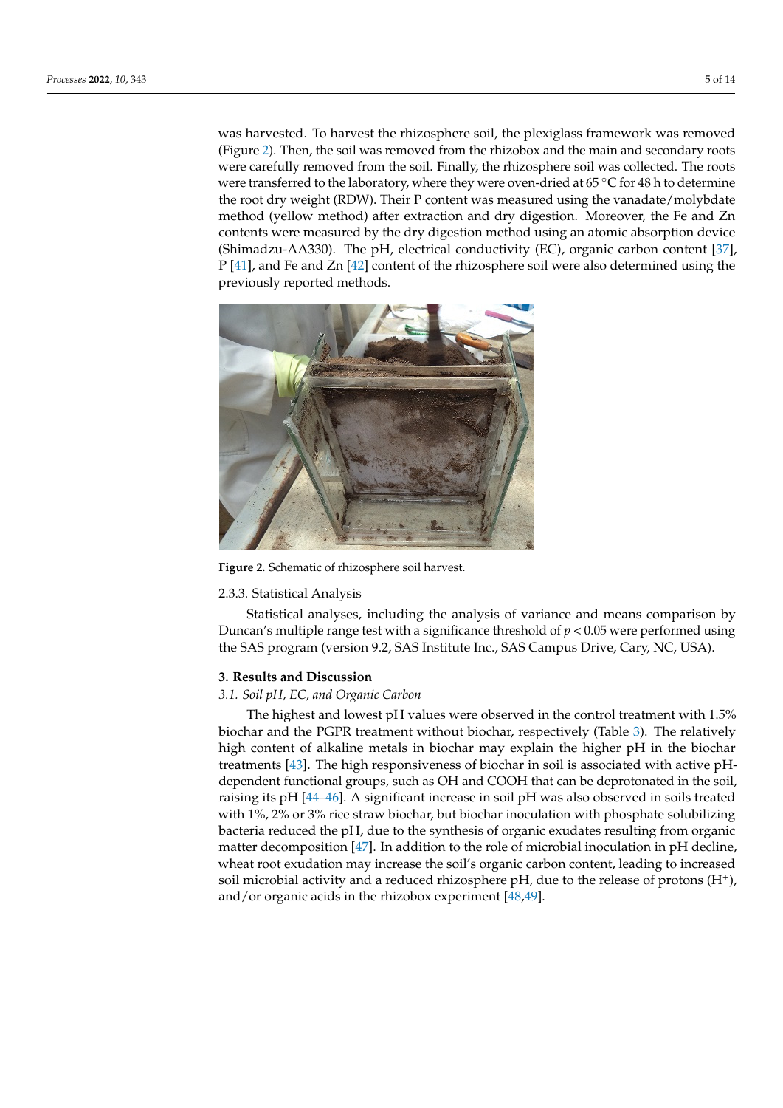was harvested. To harvest the rhizosphere soil, the plexiglass framework was removed (Figure [2\)](#page-4-0). Then, the soil was removed from the rhizobox and the main and secondary roots The carefully removed from the soil. Finally, the rhizosphere soil was collected. The roots were transferred to the laboratory, where they were oven-dried at 65 °C for 48 h to determine the root dry weight (RDW). Their P content was measured using the vanadate/molybdate method (yellow method) after extraction and dry digestion. Moreover, the Fe and Zn contents were measured by the dry digestion method using an atomic absorption device  $\mathbb{R}^n$ , electrical conductivity ( $\mathbb{R}^n$ ). The pH, electrical conductivity ( $\mathbb{R}^n$ ), electrical conductivity ( $\mathbb{R}^n$ ), el (Shimadzu-AA330). The pH, electrical conductivity (EC), organic carbon content [\[37\]](#page-11-24),  $P$  [\[41\]](#page-12-2), and Fe and Zn [\[42\]](#page-12-3) content of the rhizosphere soil were also determined using the previously reported methods. (Figure 2). Then, then, then, then, then, then, the main and secondary and secondary and secondary and secondary  $\mathcal{L}$ was harvested. To harvest the mizosphere soil, the prexigiass mainework was removed.<br>(Figure 2). Then, the soil was removed from the rhizoboy and the main and secondary roote.

<span id="page-4-0"></span>

**Figure 2.** Schematic of rhizosphere soil harvest. **Figure 2.** Schematic of rhizosphere soil harvest.

#### 2.3.3. Statistical Analysis

2.3.3. Statistical Analysis Statistical analyses, including the analysis of variance and means comparison by Duncan's multiple range test with a significance threshold of  $p < 0.05$  were performed using the SAS program (version 9.2, SAS Institute Inc., SAS Campus Drive, Cary, NC, USA).

## using the SAS program (version 9.2, SAS Institute Inc., SAS Campus Drive, Cary, NC, **3. Results and Discussion**

## USA). *3.1. Soil pH, EC, and Organic Carbon*

**3. Results and Discussion**  biochar and the PGPR treatment without biochar, respectively (Table [3\)](#page-5-0). The relatively *3.1. Soil pH, EC, and Organic Carbon*  high content of alkaline metals in biochar may explain the higher pH in the biochar treatments [\[43\]](#page-12-4). The high responsiveness of biochar in soil is associated with active pH-<br>dependent functional aroune, such as OH and COOH that san be depretenated in the soil raising its pH [\[44–](#page-12-5)[46\]](#page-12-6). A significant increase in soil pH was also observed in soils treated with 1%, 2% or 3% rice straw biochar, but biochar inoculation with phosphate solubilizing bacteria reduced the pH, due to the synthesis of organic exudates resulting from organic matter decomposition [\[47\]](#page-12-7). In addition to the role of microbial inoculation in pH decline, wheat root exudation may increase the soil's organic carbon content, leading to increased<br>wheat root exudation may increase the soil's organic carbon content, leading to increased soil microbial activity and a reduced rhizosphere pH, due to the release of protons  $(H^*)$ ,<br>and (or arganic acide in the rhizobox averaiment  $[48, 49]$ bacteria reduced the synthesis of organic exumples  $\mathbf{r}_1$  . The sympathy  $\mathbf{r}_1$ The highest and lowest pH values were observed in the control treatment with 1.5% dependent functional groups, such as OH and COOH that can be deprotonated in the soil, and/or organic acids in the rhizobox experiment [\[48](#page-12-8)[,49\]](#page-12-9).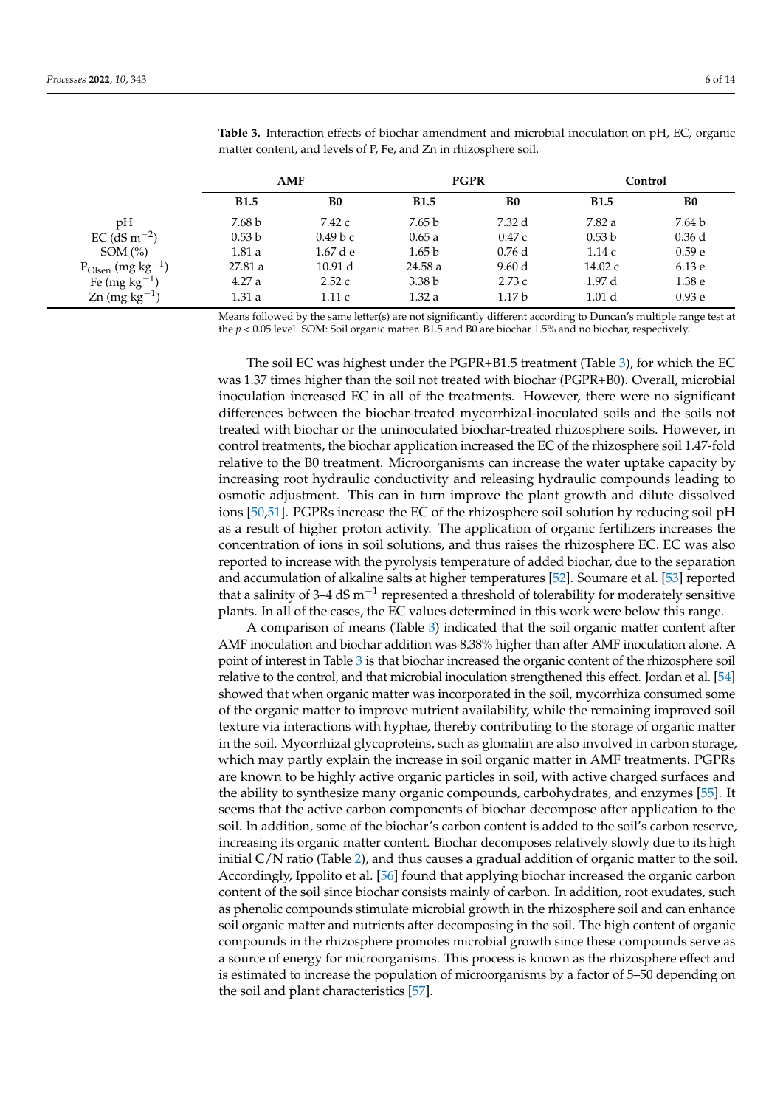|                                    | AMF               |                | <b>PGPR</b>       |                   | Control           |                   |
|------------------------------------|-------------------|----------------|-------------------|-------------------|-------------------|-------------------|
|                                    | <b>B1.5</b>       | B <sub>0</sub> | <b>B1.5</b>       | B <sub>0</sub>    | <b>B1.5</b>       | B <sub>0</sub>    |
| pH                                 | 7.68 b            | 7.42 c         | 7.65 b            | 7.32 d            | 7.82 a            | 7.64 b            |
| $EC$ (dS m <sup>-2</sup> )         | 0.53 <sub>b</sub> | 0.49 b c       | 0.65a             | 0.47c             | 0.53 <sub>b</sub> | $0.36$ d          |
| SOM $(\% )$                        | 1.81a             | $1.67$ d e     | 1.65 <sub>b</sub> | 0.76d             | 1.14c             | 0.59 <sub>e</sub> |
| $P_{Olsen}$ (mg kg <sup>-1</sup> ) | 27.81a            | 10.91 d        | 24.58a            | 9.60d             | 14.02 c           | 6.13 e            |
| Fe (mg $kg^{-1}$ )                 | 4.27a             | 2.52c          | 3.38 <sub>b</sub> | 2.73c             | 1.97d             | 1.38 e            |
| $\text{Zn}$ (mg kg <sup>-1</sup> ) | 1.31a             | 1.11 c         | 1.32 a            | 1.17 <sub>b</sub> | 1.01 <sub>d</sub> | 0.93 <sub>e</sub> |

<span id="page-5-0"></span>**Table 3.** Interaction effects of biochar amendment and microbial inoculation on pH, EC, organic matter content, and levels of P, Fe, and Zn in rhizosphere soil.

Means followed by the same letter(s) are not significantly different according to Duncan's multiple range test at the *p* < 0.05 level. SOM: Soil organic matter. B1.5 and B0 are biochar 1.5% and no biochar, respectively.

The soil EC was highest under the PGPR+B1.5 treatment (Table [3\)](#page-5-0), for which the EC was 1.37 times higher than the soil not treated with biochar (PGPR+B0). Overall, microbial inoculation increased EC in all of the treatments. However, there were no significant differences between the biochar-treated mycorrhizal-inoculated soils and the soils not treated with biochar or the uninoculated biochar-treated rhizosphere soils. However, in control treatments, the biochar application increased the EC of the rhizosphere soil 1.47-fold relative to the B0 treatment. Microorganisms can increase the water uptake capacity by increasing root hydraulic conductivity and releasing hydraulic compounds leading to osmotic adjustment. This can in turn improve the plant growth and dilute dissolved ions [\[50,](#page-12-10)[51\]](#page-12-11). PGPRs increase the EC of the rhizosphere soil solution by reducing soil pH as a result of higher proton activity. The application of organic fertilizers increases the concentration of ions in soil solutions, and thus raises the rhizosphere EC. EC was also reported to increase with the pyrolysis temperature of added biochar, due to the separation and accumulation of alkaline salts at higher temperatures [\[52\]](#page-12-12). Soumare et al. [\[53\]](#page-12-13) reported that a salinity of 3–4 dS m<sup>-1</sup> represented a threshold of tolerability for moderately sensitive plants. In all of the cases, the EC values determined in this work were below this range.

A comparison of means (Table [3\)](#page-5-0) indicated that the soil organic matter content after AMF inoculation and biochar addition was 8.38% higher than after AMF inoculation alone. A point of interest in Table [3](#page-5-0) is that biochar increased the organic content of the rhizosphere soil relative to the control, and that microbial inoculation strengthened this effect. Jordan et al. [\[54\]](#page-12-14) showed that when organic matter was incorporated in the soil, mycorrhiza consumed some of the organic matter to improve nutrient availability, while the remaining improved soil texture via interactions with hyphae, thereby contributing to the storage of organic matter in the soil. Mycorrhizal glycoproteins, such as glomalin are also involved in carbon storage, which may partly explain the increase in soil organic matter in AMF treatments. PGPRs are known to be highly active organic particles in soil, with active charged surfaces and the ability to synthesize many organic compounds, carbohydrates, and enzymes [\[55\]](#page-12-15). It seems that the active carbon components of biochar decompose after application to the soil. In addition, some of the biochar's carbon content is added to the soil's carbon reserve, increasing its organic matter content. Biochar decomposes relatively slowly due to its high initial  $C/N$  ratio (Table [2\)](#page-3-1), and thus causes a gradual addition of organic matter to the soil. Accordingly, Ippolito et al. [\[56\]](#page-12-16) found that applying biochar increased the organic carbon content of the soil since biochar consists mainly of carbon. In addition, root exudates, such as phenolic compounds stimulate microbial growth in the rhizosphere soil and can enhance soil organic matter and nutrients after decomposing in the soil. The high content of organic compounds in the rhizosphere promotes microbial growth since these compounds serve as a source of energy for microorganisms. This process is known as the rhizosphere effect and is estimated to increase the population of microorganisms by a factor of 5–50 depending on the soil and plant characteristics [\[57\]](#page-12-17).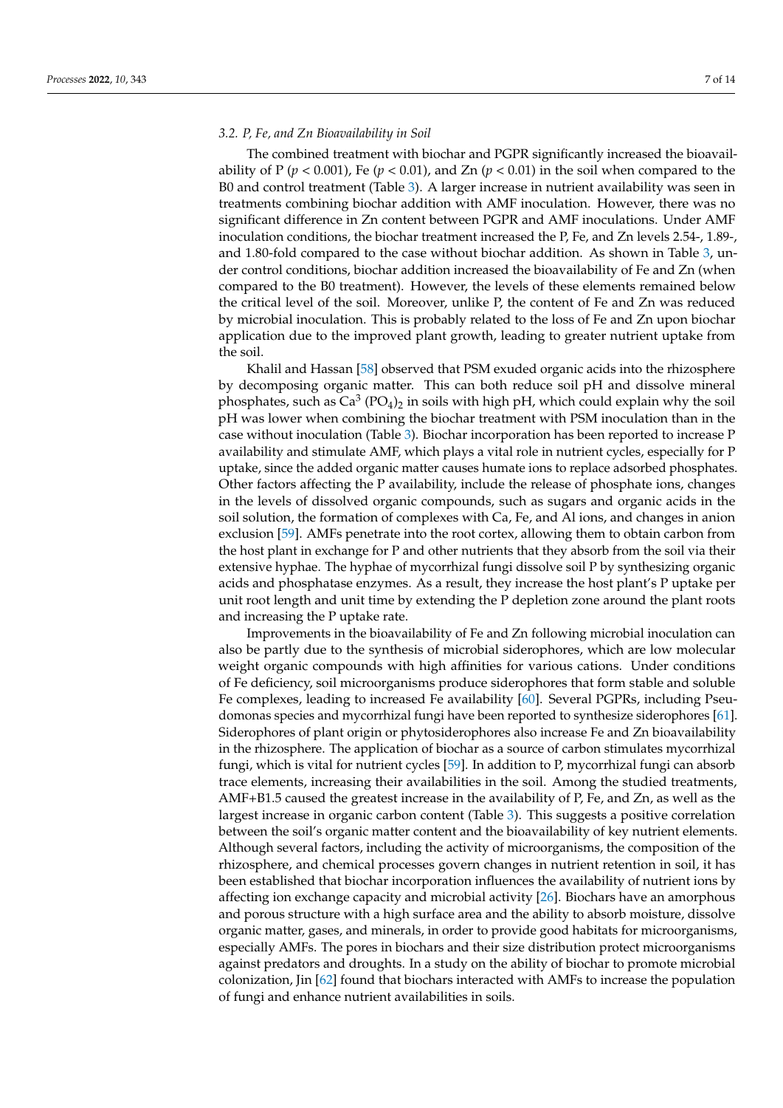#### *3.2. P, Fe, and Zn Bioavailability in Soil*

The combined treatment with biochar and PGPR significantly increased the bioavailability of P ( $p < 0.001$ ), Fe ( $p < 0.01$ ), and Zn ( $p < 0.01$ ) in the soil when compared to the B0 and control treatment (Table [3\)](#page-5-0). A larger increase in nutrient availability was seen in treatments combining biochar addition with AMF inoculation. However, there was no significant difference in Zn content between PGPR and AMF inoculations. Under AMF inoculation conditions, the biochar treatment increased the P, Fe, and Zn levels 2.54-, 1.89-, and 1.80-fold compared to the case without biochar addition. As shown in Table [3,](#page-5-0) under control conditions, biochar addition increased the bioavailability of Fe and Zn (when compared to the B0 treatment). However, the levels of these elements remained below the critical level of the soil. Moreover, unlike P, the content of Fe and Zn was reduced by microbial inoculation. This is probably related to the loss of Fe and Zn upon biochar application due to the improved plant growth, leading to greater nutrient uptake from the soil.

Khalil and Hassan [\[58\]](#page-12-18) observed that PSM exuded organic acids into the rhizosphere by decomposing organic matter. This can both reduce soil pH and dissolve mineral phosphates, such as  $\text{Ca}^3$  (PO<sub>4</sub>)<sub>2</sub> in soils with high pH, which could explain why the soil pH was lower when combining the biochar treatment with PSM inoculation than in the case without inoculation (Table [3\)](#page-5-0). Biochar incorporation has been reported to increase P availability and stimulate AMF, which plays a vital role in nutrient cycles, especially for P uptake, since the added organic matter causes humate ions to replace adsorbed phosphates. Other factors affecting the P availability, include the release of phosphate ions, changes in the levels of dissolved organic compounds, such as sugars and organic acids in the soil solution, the formation of complexes with Ca, Fe, and Al ions, and changes in anion exclusion [\[59\]](#page-12-19). AMFs penetrate into the root cortex, allowing them to obtain carbon from the host plant in exchange for P and other nutrients that they absorb from the soil via their extensive hyphae. The hyphae of mycorrhizal fungi dissolve soil P by synthesizing organic acids and phosphatase enzymes. As a result, they increase the host plant's P uptake per unit root length and unit time by extending the P depletion zone around the plant roots and increasing the P uptake rate.

Improvements in the bioavailability of Fe and Zn following microbial inoculation can also be partly due to the synthesis of microbial siderophores, which are low molecular weight organic compounds with high affinities for various cations. Under conditions of Fe deficiency, soil microorganisms produce siderophores that form stable and soluble Fe complexes, leading to increased Fe availability [\[60\]](#page-12-20). Several PGPRs, including Pseudomonas species and mycorrhizal fungi have been reported to synthesize siderophores [\[61\]](#page-12-21). Siderophores of plant origin or phytosiderophores also increase Fe and Zn bioavailability in the rhizosphere. The application of biochar as a source of carbon stimulates mycorrhizal fungi, which is vital for nutrient cycles [\[59\]](#page-12-19). In addition to P, mycorrhizal fungi can absorb trace elements, increasing their availabilities in the soil. Among the studied treatments, AMF+B1.5 caused the greatest increase in the availability of P, Fe, and Zn, as well as the largest increase in organic carbon content (Table [3\)](#page-5-0). This suggests a positive correlation between the soil's organic matter content and the bioavailability of key nutrient elements. Although several factors, including the activity of microorganisms, the composition of the rhizosphere, and chemical processes govern changes in nutrient retention in soil, it has been established that biochar incorporation influences the availability of nutrient ions by affecting ion exchange capacity and microbial activity [\[26\]](#page-11-13). Biochars have an amorphous and porous structure with a high surface area and the ability to absorb moisture, dissolve organic matter, gases, and minerals, in order to provide good habitats for microorganisms, especially AMFs. The pores in biochars and their size distribution protect microorganisms against predators and droughts. In a study on the ability of biochar to promote microbial colonization, Jin [\[62\]](#page-12-22) found that biochars interacted with AMFs to increase the population of fungi and enhance nutrient availabilities in soils.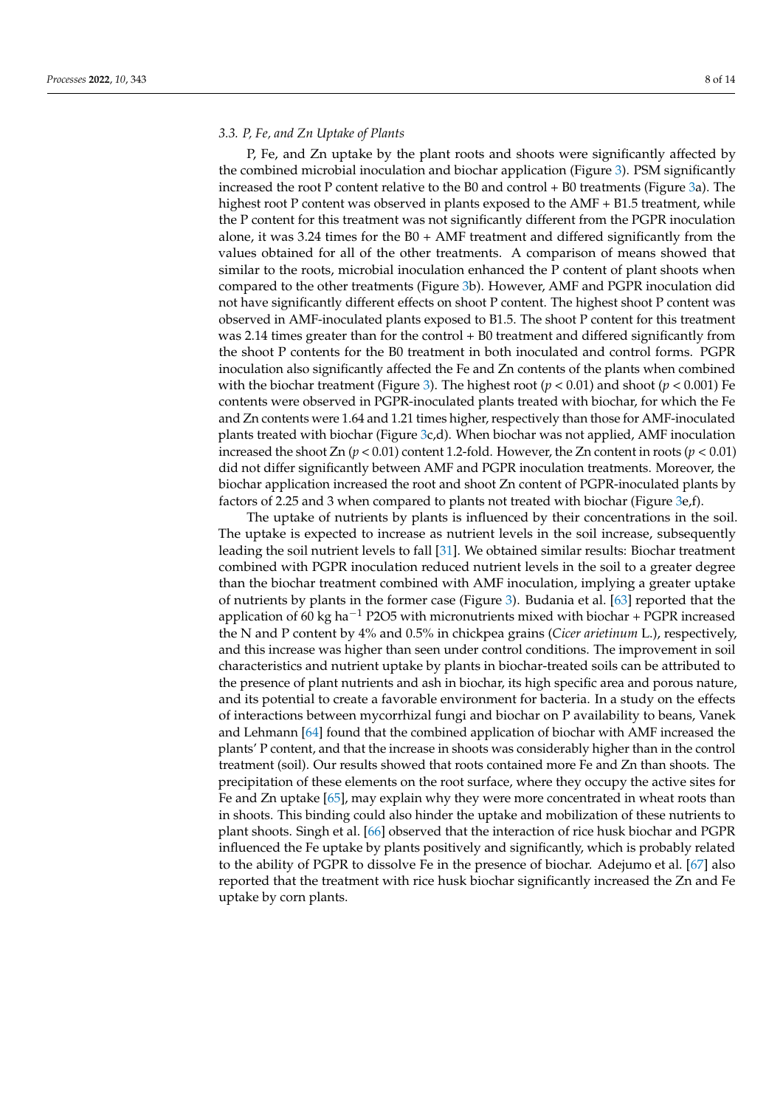#### *3.3. P, Fe, and Zn Uptake of Plants*

P, Fe, and Zn uptake by the plant roots and shoots were significantly affected by the combined microbial inoculation and biochar application (Figure [3\)](#page-8-0). PSM significantly increased the root P content relative to the B0 and control + B0 treatments (Figure [3a](#page-8-0)). The highest root P content was observed in plants exposed to the AMF + B1.5 treatment, while the P content for this treatment was not significantly different from the PGPR inoculation alone, it was 3.24 times for the  $B0 + AMF$  treatment and differed significantly from the values obtained for all of the other treatments. A comparison of means showed that similar to the roots, microbial inoculation enhanced the P content of plant shoots when compared to the other treatments (Figure [3b](#page-8-0)). However, AMF and PGPR inoculation did not have significantly different effects on shoot P content. The highest shoot P content was observed in AMF-inoculated plants exposed to B1.5. The shoot P content for this treatment was 2.14 times greater than for the control + B0 treatment and differed significantly from the shoot P contents for the B0 treatment in both inoculated and control forms. PGPR inoculation also significantly affected the Fe and Zn contents of the plants when combined with the biochar treatment (Figure [3\)](#page-8-0). The highest root ( $p < 0.01$ ) and shoot ( $p < 0.001$ ) Fe contents were observed in PGPR-inoculated plants treated with biochar, for which the Fe and Zn contents were 1.64 and 1.21 times higher, respectively than those for AMF-inoculated plants treated with biochar (Figure [3c](#page-8-0),d). When biochar was not applied, AMF inoculation increased the shoot Zn ( $p < 0.01$ ) content 1.2-fold. However, the Zn content in roots ( $p < 0.01$ ) did not differ significantly between AMF and PGPR inoculation treatments. Moreover, the biochar application increased the root and shoot Zn content of PGPR-inoculated plants by factors of 2.25 and 3 when compared to plants not treated with biochar (Figure [3e](#page-8-0),f).

The uptake of nutrients by plants is influenced by their concentrations in the soil. The uptake is expected to increase as nutrient levels in the soil increase, subsequently leading the soil nutrient levels to fall [\[31\]](#page-11-18). We obtained similar results: Biochar treatment combined with PGPR inoculation reduced nutrient levels in the soil to a greater degree than the biochar treatment combined with AMF inoculation, implying a greater uptake of nutrients by plants in the former case (Figure [3\)](#page-8-0). Budania et al. [\[63\]](#page-12-23) reported that the application of 60 kg ha<sup> $-1$ </sup> P2O5 with micronutrients mixed with biochar + PGPR increased the N and P content by 4% and 0.5% in chickpea grains (*Cicer arietinum* L.), respectively, and this increase was higher than seen under control conditions. The improvement in soil characteristics and nutrient uptake by plants in biochar-treated soils can be attributed to the presence of plant nutrients and ash in biochar, its high specific area and porous nature, and its potential to create a favorable environment for bacteria. In a study on the effects of interactions between mycorrhizal fungi and biochar on P availability to beans, Vanek and Lehmann [\[64\]](#page-12-24) found that the combined application of biochar with AMF increased the plants' P content, and that the increase in shoots was considerably higher than in the control treatment (soil). Our results showed that roots contained more Fe and Zn than shoots. The precipitation of these elements on the root surface, where they occupy the active sites for Fe and Zn uptake [\[65\]](#page-12-25), may explain why they were more concentrated in wheat roots than in shoots. This binding could also hinder the uptake and mobilization of these nutrients to plant shoots. Singh et al. [\[66\]](#page-12-26) observed that the interaction of rice husk biochar and PGPR influenced the Fe uptake by plants positively and significantly, which is probably related to the ability of PGPR to dissolve Fe in the presence of biochar. Adejumo et al. [\[67\]](#page-13-0) also reported that the treatment with rice husk biochar significantly increased the Zn and Fe uptake by corn plants.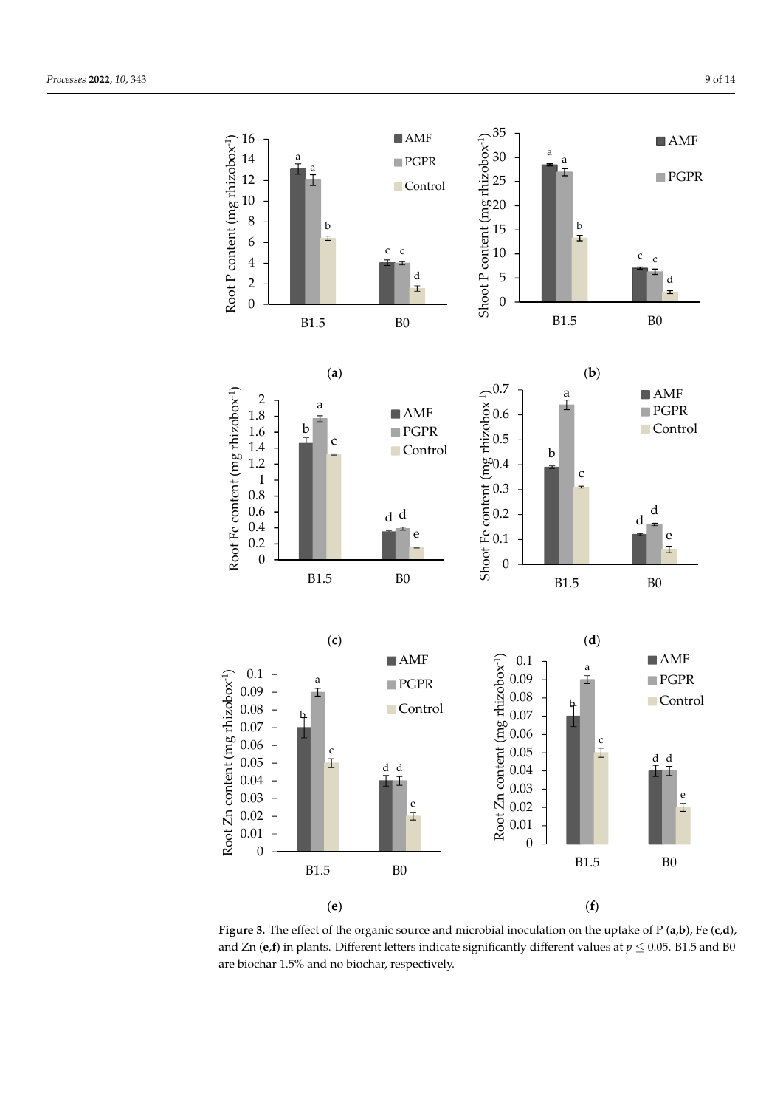

<span id="page-8-0"></span>

**Figure 3.** The effect of the organic source and microbial inoculation on the uptake of  $P(a,b)$ , Fe  $(c,d)$ , and Zn (e,f) in plants. Different letters indicate significantly different values at  $p \leq 0.05$ . B1.5 and B0 are biochar 1.5% and no biochar, respectively. are biochar 1.5% and no biochar, respectively.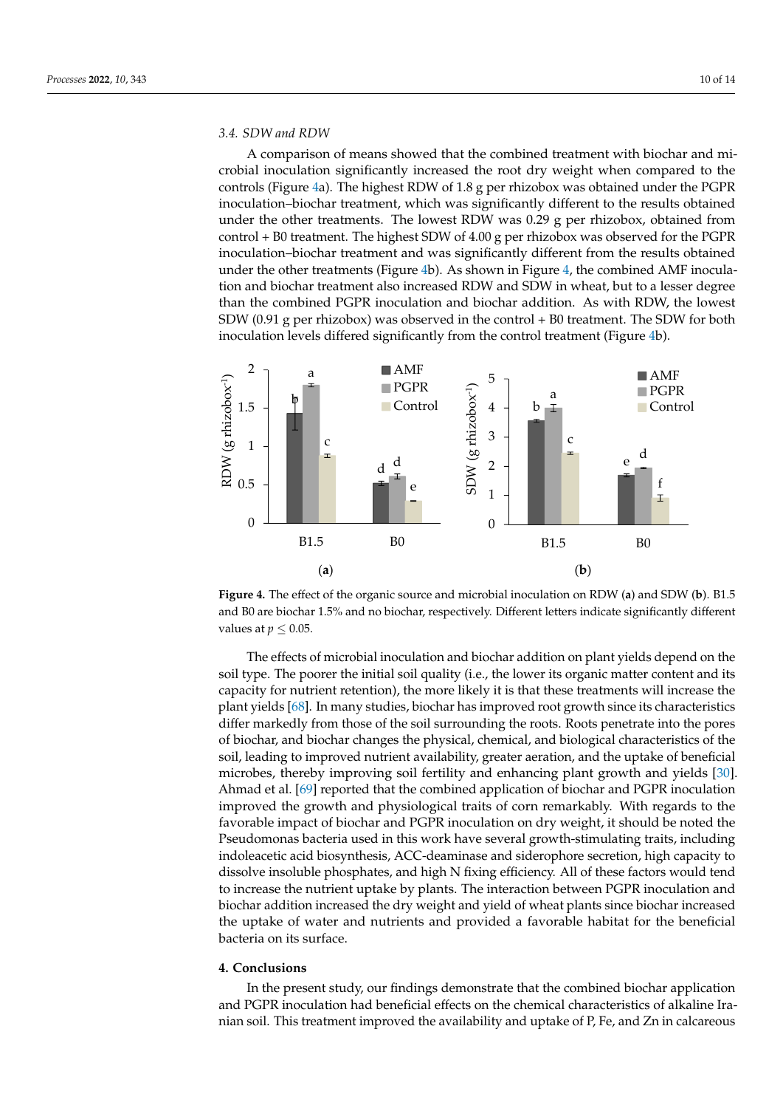#### **3.4. SDW and RDW performance** into the position of biocharges the physical, and biocharges the physical, and biocharmaceuse the physical, and biocharmaceuse the physical, and biocharmaceuse the physical, and biocharmace

A comparison of means showed that the combined treatment with biochar and microbial inoculation significantly increased the root dry weight when compared to the cont[ro](#page-9-0)ls (Figure 4a). The highest RDW of 1.8 g per rhizobox was obtained under the PGPR inoculation-biochar treatment, which was significantly different to the results obtained under the other treatments. The lowest RDW was 0.29 g per rhizobox, obtained from  $control + B0$  treatment. The highest SDW of 4.00 g per rhizobox was observed for the PGPR inoculation–biochar treatment and was significantly different from the results obtained under the other treatments (Figure 4b). As shown in Figure 4, the combined AMF inoculation and biochar treatment also increased RDW and SDW in wheat, but to a lesser degree than the combined PGPR inoculation and biochar addition. As with RDW, the lowest SDW (0.91 g per rhizobox) was observed in the control  $+$  B0 treatment. The SDW for both inoculation levels differed significantly from the control treatment (Figure  $4b$ ).

<span id="page-9-0"></span>

**Figure 4.** The effect of the organic source and microbial inoculation on RDW (a) and SDW (b). B1.5 and B0 are biochar 1.5% and no biochar, respectively. Different letters indicate significantly different and B0 are biochar 1.5% and no biochar, respectively. Different letters indicate significantly different values at  $p \leq 0.05$ .

**4. Conclusions**  The effects of microbial inoculation and biochar addition on plant yields depend on the soil type. The poorer the initial soil quality (i.e., the lower its organic matter content and its capacity for nutrient retention), the more likely it is that these treatments will increase the plant yields [\[68\]](#page-13-1). In many studies, biochar has improved root growth since its characteristics differ markedly from those of the soil surrounding the roots. Roots penetrate into the pores of biochar, and biochar changes the physical, chemical, and biological characteristics of the soil, leading to improved nutrient availability, greater aeration, and the uptake of beneficial microbes, thereby improving soil fertility and enhancing plant growth and yields [\[30\]](#page-11-17). Ahmad et al. [\[69\]](#page-13-2) reported that the combined application of biochar and PGPR inoculation improved the growth and physiological traits of corn remarkably. With regards to the favorable impact of biochar and PGPR inoculation on dry weight, it should be noted the Pseudomonas bacteria used in this work have several growth-stimulating traits, including indoleacetic acid biosynthesis, ACC-deaminase and siderophore secretion, high capacity to dissolve insoluble phosphates, and high N fixing efficiency. All of these factors would tend to increase the nutrient uptake by plants. The interaction between PGPR inoculation and biochar addition increased the dry weight and yield of wheat plants since biochar increased the uptake of water and nutrients and provided a favorable habitat for the beneficial bacteria on its surface.

#### **4. Conclusions**

In the present study, our findings demonstrate that the combined biochar application and PGPR inoculation had beneficial effects on the chemical characteristics of alkaline Iranian soil. This treatment improved the availability and uptake of P, Fe, and Zn in calcareous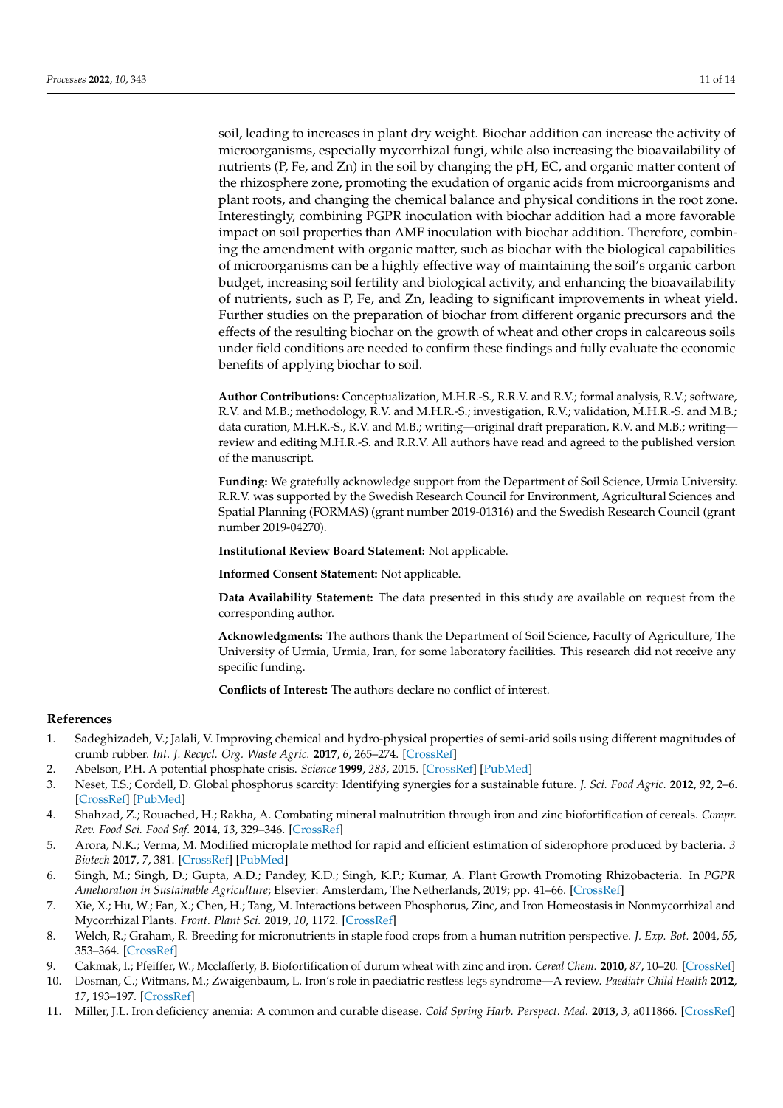soil, leading to increases in plant dry weight. Biochar addition can increase the activity of microorganisms, especially mycorrhizal fungi, while also increasing the bioavailability of nutrients (P, Fe, and Zn) in the soil by changing the pH, EC, and organic matter content of the rhizosphere zone, promoting the exudation of organic acids from microorganisms and plant roots, and changing the chemical balance and physical conditions in the root zone. Interestingly, combining PGPR inoculation with biochar addition had a more favorable impact on soil properties than AMF inoculation with biochar addition. Therefore, combining the amendment with organic matter, such as biochar with the biological capabilities of microorganisms can be a highly effective way of maintaining the soil's organic carbon budget, increasing soil fertility and biological activity, and enhancing the bioavailability of nutrients, such as P, Fe, and Zn, leading to significant improvements in wheat yield. Further studies on the preparation of biochar from different organic precursors and the effects of the resulting biochar on the growth of wheat and other crops in calcareous soils under field conditions are needed to confirm these findings and fully evaluate the economic benefits of applying biochar to soil.

**Author Contributions:** Conceptualization, M.H.R.-S., R.R.V. and R.V.; formal analysis, R.V.; software, R.V. and M.B.; methodology, R.V. and M.H.R.-S.; investigation, R.V.; validation, M.H.R.-S. and M.B.; data curation, M.H.R.-S., R.V. and M.B.; writing—original draft preparation, R.V. and M.B.; writing review and editing M.H.R.-S. and R.R.V. All authors have read and agreed to the published version of the manuscript.

**Funding:** We gratefully acknowledge support from the Department of Soil Science, Urmia University. R.R.V. was supported by the Swedish Research Council for Environment, Agricultural Sciences and Spatial Planning (FORMAS) (grant number 2019-01316) and the Swedish Research Council (grant number 2019-04270).

**Institutional Review Board Statement:** Not applicable.

**Informed Consent Statement:** Not applicable.

**Data Availability Statement:** The data presented in this study are available on request from the corresponding author.

**Acknowledgments:** The authors thank the Department of Soil Science, Faculty of Agriculture, The University of Urmia, Urmia, Iran, for some laboratory facilities. This research did not receive any specific funding.

**Conflicts of Interest:** The authors declare no conflict of interest.

#### **References**

- <span id="page-10-0"></span>1. Sadeghizadeh, V.; Jalali, V. Improving chemical and hydro-physical properties of semi-arid soils using different magnitudes of crumb rubber. *Int. J. Recycl. Org. Waste Agric.* **2017**, *6*, 265–274. [\[CrossRef\]](http://doi.org/10.1007/s40093-017-0174-6)
- <span id="page-10-1"></span>2. Abelson, P.H. A potential phosphate crisis. *Science* **1999**, *283*, 2015. [\[CrossRef\]](http://doi.org/10.1126/science.283.5410.2015) [\[PubMed\]](http://www.ncbi.nlm.nih.gov/pubmed/10206902)
- 3. Neset, T.S.; Cordell, D. Global phosphorus scarcity: Identifying synergies for a sustainable future. *J. Sci. Food Agric.* **2012**, *92*, 2–6. [\[CrossRef\]](http://doi.org/10.1002/jsfa.4650) [\[PubMed\]](http://www.ncbi.nlm.nih.gov/pubmed/21969145)
- 4. Shahzad, Z.; Rouached, H.; Rakha, A. Combating mineral malnutrition through iron and zinc biofortification of cereals. *Compr. Rev. Food Sci. Food Saf.* **2014**, *13*, 329–346. [\[CrossRef\]](http://doi.org/10.1111/1541-4337.12063)
- 5. Arora, N.K.; Verma, M. Modified microplate method for rapid and efficient estimation of siderophore produced by bacteria. *3 Biotech* **2017**, *7*, 381. [\[CrossRef\]](http://doi.org/10.1007/s13205-017-1008-y) [\[PubMed\]](http://www.ncbi.nlm.nih.gov/pubmed/29109926)
- 6. Singh, M.; Singh, D.; Gupta, A.D.; Pandey, K.D.; Singh, K.P.; Kumar, A. Plant Growth Promoting Rhizobacteria. In *PGPR Amelioration in Sustainable Agriculture*; Elsevier: Amsterdam, The Netherlands, 2019; pp. 41–66. [\[CrossRef\]](http://doi.org/10.1016/B978-0-12-815879-1.00003-3)
- <span id="page-10-2"></span>7. Xie, X.; Hu, W.; Fan, X.; Chen, H.; Tang, M. Interactions between Phosphorus, Zinc, and Iron Homeostasis in Nonmycorrhizal and Mycorrhizal Plants. *Front. Plant Sci.* **2019**, *10*, 1172. [\[CrossRef\]](http://doi.org/10.3389/fpls.2019.01172)
- <span id="page-10-3"></span>8. Welch, R.; Graham, R. Breeding for micronutrients in staple food crops from a human nutrition perspective. *J. Exp. Bot.* **2004**, *55*, 353–364. [\[CrossRef\]](http://doi.org/10.1093/jxb/erh064)
- 9. Cakmak, I.; Pfeiffer, W.; Mcclafferty, B. Biofortification of durum wheat with zinc and iron. *Cereal Chem.* **2010**, *87*, 10–20. [\[CrossRef\]](http://doi.org/10.1094/CCHEM-87-1-0010)
- 10. Dosman, C.; Witmans, M.; Zwaigenbaum, L. Iron's role in paediatric restless legs syndrome—A review. *Paediatr Child Health* **2012**, *17*, 193–197. [\[CrossRef\]](http://doi.org/10.1093/pch/17.4.193)
- 11. Miller, J.L. Iron deficiency anemia: A common and curable disease. *Cold Spring Harb. Perspect. Med.* **2013**, *3*, a011866. [\[CrossRef\]](http://doi.org/10.1101/cshperspect.a011866)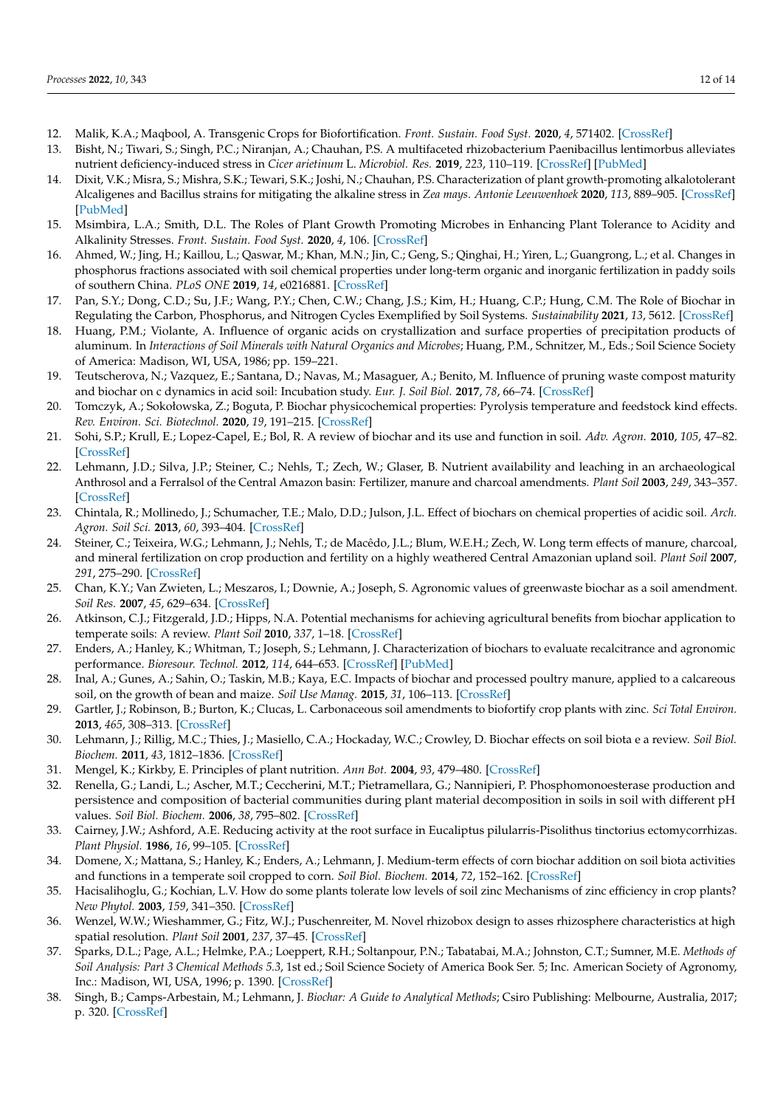- <span id="page-11-0"></span>12. Malik, K.A.; Maqbool, A. Transgenic Crops for Biofortification. *Front. Sustain. Food Syst.* **2020**, *4*, 571402. [\[CrossRef\]](http://doi.org/10.3389/fsufs.2020.571402)
- <span id="page-11-1"></span>13. Bisht, N.; Tiwari, S.; Singh, P.C.; Niranjan, A.; Chauhan, P.S. A multifaceted rhizobacterium Paenibacillus lentimorbus alleviates nutrient deficiency-induced stress in *Cicer arietinum* L. *Microbiol. Res.* **2019**, *223*, 110–119. [\[CrossRef\]](http://doi.org/10.1016/j.micres.2019.04.007) [\[PubMed\]](http://www.ncbi.nlm.nih.gov/pubmed/31178043)
- 14. Dixit, V.K.; Misra, S.; Mishra, S.K.; Tewari, S.K.; Joshi, N.; Chauhan, P.S. Characterization of plant growth-promoting alkalotolerant Alcaligenes and Bacillus strains for mitigating the alkaline stress in *Zea mays*. *Antonie Leeuwenhoek* **2020**, *113*, 889–905. [\[CrossRef\]](http://doi.org/10.1007/s10482-020-01399-1) [\[PubMed\]](http://www.ncbi.nlm.nih.gov/pubmed/32152804)
- <span id="page-11-2"></span>15. Msimbira, L.A.; Smith, D.L. The Roles of Plant Growth Promoting Microbes in Enhancing Plant Tolerance to Acidity and Alkalinity Stresses. *Front. Sustain. Food Syst.* **2020**, *4*, 106. [\[CrossRef\]](http://doi.org/10.3389/fsufs.2020.00106)
- <span id="page-11-3"></span>16. Ahmed, W.; Jing, H.; Kaillou, L.; Qaswar, M.; Khan, M.N.; Jin, C.; Geng, S.; Qinghai, H.; Yiren, L.; Guangrong, L.; et al. Changes in phosphorus fractions associated with soil chemical properties under long-term organic and inorganic fertilization in paddy soils of southern China. *PLoS ONE* **2019**, *14*, e0216881. [\[CrossRef\]](http://doi.org/10.1371/journal.pone.0216881)
- <span id="page-11-4"></span>17. Pan, S.Y.; Dong, C.D.; Su, J.F.; Wang, P.Y.; Chen, C.W.; Chang, J.S.; Kim, H.; Huang, C.P.; Hung, C.M. The Role of Biochar in Regulating the Carbon, Phosphorus, and Nitrogen Cycles Exemplified by Soil Systems. *Sustainability* **2021**, *13*, 5612. [\[CrossRef\]](http://doi.org/10.3390/su13105612)
- <span id="page-11-5"></span>18. Huang, P.M.; Violante, A. Influence of organic acids on crystallization and surface properties of precipitation products of aluminum. In *Interactions of Soil Minerals with Natural Organics and Microbes*; Huang, P.M., Schnitzer, M., Eds.; Soil Science Society of America: Madison, WI, USA, 1986; pp. 159–221.
- <span id="page-11-6"></span>19. Teutscherova, N.; Vazquez, E.; Santana, D.; Navas, M.; Masaguer, A.; Benito, M. Influence of pruning waste compost maturity and biochar on c dynamics in acid soil: Incubation study. *Eur. J. Soil Biol.* **2017**, *78*, 66–74. [\[CrossRef\]](http://doi.org/10.1016/j.ejsobi.2016.12.001)
- <span id="page-11-7"></span>20. Tomczyk, A.; Sokołowska, Z.; Boguta, P. Biochar physicochemical properties: Pyrolysis temperature and feedstock kind effects. *Rev. Environ. Sci. Biotechnol.* **2020**, *19*, 191–215. [\[CrossRef\]](http://doi.org/10.1007/s11157-020-09523-3)
- <span id="page-11-8"></span>21. Sohi, S.P.; Krull, E.; Lopez-Capel, E.; Bol, R. A review of biochar and its use and function in soil. *Adv. Agron.* **2010**, *105*, 47–82. [\[CrossRef\]](http://doi.org/10.1016/S0065-2113(10)05002-9)
- <span id="page-11-9"></span>22. Lehmann, J.D.; Silva, J.P.; Steiner, C.; Nehls, T.; Zech, W.; Glaser, B. Nutrient availability and leaching in an archaeological Anthrosol and a Ferralsol of the Central Amazon basin: Fertilizer, manure and charcoal amendments. *Plant Soil* **2003**, *249*, 343–357. [\[CrossRef\]](http://doi.org/10.1023/A:1022833116184)
- <span id="page-11-10"></span>23. Chintala, R.; Mollinedo, J.; Schumacher, T.E.; Malo, D.D.; Julson, J.L. Effect of biochars on chemical properties of acidic soil. *Arch. Agron. Soil Sci.* **2013**, *60*, 393–404. [\[CrossRef\]](http://doi.org/10.1080/03650340.2013.789870)
- <span id="page-11-11"></span>24. Steiner, C.; Teixeira, W.G.; Lehmann, J.; Nehls, T.; de Macêdo, J.L.; Blum, W.E.H.; Zech, W. Long term effects of manure, charcoal, and mineral fertilization on crop production and fertility on a highly weathered Central Amazonian upland soil. *Plant Soil* **2007**, *291*, 275–290. [\[CrossRef\]](http://doi.org/10.1007/s11104-007-9193-9)
- <span id="page-11-12"></span>25. Chan, K.Y.; Van Zwieten, L.; Meszaros, I.; Downie, A.; Joseph, S. Agronomic values of greenwaste biochar as a soil amendment. *Soil Res.* **2007**, *45*, 629–634. [\[CrossRef\]](http://doi.org/10.1071/SR07109)
- <span id="page-11-13"></span>26. Atkinson, C.J.; Fitzgerald, J.D.; Hipps, N.A. Potential mechanisms for achieving agricultural benefits from biochar application to temperate soils: A review. *Plant Soil* **2010**, *337*, 1–18. [\[CrossRef\]](http://doi.org/10.1007/s11104-010-0464-5)
- <span id="page-11-14"></span>27. Enders, A.; Hanley, K.; Whitman, T.; Joseph, S.; Lehmann, J. Characterization of biochars to evaluate recalcitrance and agronomic performance. *Bioresour. Technol.* **2012**, *114*, 644–653. [\[CrossRef\]](http://doi.org/10.1016/j.biortech.2012.03.022) [\[PubMed\]](http://www.ncbi.nlm.nih.gov/pubmed/22483559)
- <span id="page-11-15"></span>28. Inal, A.; Gunes, A.; Sahin, O.; Taskin, M.B.; Kaya, E.C. Impacts of biochar and processed poultry manure, applied to a calcareous soil, on the growth of bean and maize. *Soil Use Manag.* **2015**, *31*, 106–113. [\[CrossRef\]](http://doi.org/10.1111/sum.12162)
- <span id="page-11-16"></span>29. Gartler, J.; Robinson, B.; Burton, K.; Clucas, L. Carbonaceous soil amendments to biofortify crop plants with zinc. *Sci Total Environ.* **2013**, *465*, 308–313. [\[CrossRef\]](http://doi.org/10.1016/j.scitotenv.2012.10.027)
- <span id="page-11-17"></span>30. Lehmann, J.; Rillig, M.C.; Thies, J.; Masiello, C.A.; Hockaday, W.C.; Crowley, D. Biochar effects on soil biota e a review. *Soil Biol. Biochem.* **2011**, *43*, 1812–1836. [\[CrossRef\]](http://doi.org/10.1016/j.soilbio.2011.04.022)
- <span id="page-11-18"></span>31. Mengel, K.; Kirkby, E. Principles of plant nutrition. *Ann Bot.* **2004**, *93*, 479–480. [\[CrossRef\]](http://doi.org/10.1093/aob/mch063)
- <span id="page-11-19"></span>32. Renella, G.; Landi, L.; Ascher, M.T.; Ceccherini, M.T.; Pietramellara, G.; Nannipieri, P. Phosphomonoesterase production and persistence and composition of bacterial communities during plant material decomposition in soils in soil with different pH values. *Soil Biol. Biochem.* **2006**, *38*, 795–802. [\[CrossRef\]](http://doi.org/10.1016/j.soilbio.2005.07.005)
- <span id="page-11-20"></span>33. Cairney, J.W.; Ashford, A.E. Reducing activity at the root surface in Eucaliptus pilularris-Pisolithus tinctorius ectomycorrhizas. *Plant Physiol.* **1986**, *16*, 99–105. [\[CrossRef\]](http://doi.org/10.1071/PP9890099)
- <span id="page-11-21"></span>34. Domene, X.; Mattana, S.; Hanley, K.; Enders, A.; Lehmann, J. Medium-term effects of corn biochar addition on soil biota activities and functions in a temperate soil cropped to corn. *Soil Biol. Biochem.* **2014**, *72*, 152–162. [\[CrossRef\]](http://doi.org/10.1016/j.soilbio.2014.01.035)
- <span id="page-11-22"></span>35. Hacisalihoglu, G.; Kochian, L.V. How do some plants tolerate low levels of soil zinc Mechanisms of zinc efficiency in crop plants? *New Phytol.* **2003**, *159*, 341–350. [\[CrossRef\]](http://doi.org/10.1046/j.1469-8137.2003.00826.x)
- <span id="page-11-23"></span>36. Wenzel, W.W.; Wieshammer, G.; Fitz, W.J.; Puschenreiter, M. Novel rhizobox design to asses rhizosphere characteristics at high spatial resolution. *Plant Soil* **2001**, *237*, 37–45. [\[CrossRef\]](http://doi.org/10.1023/A:1013395122730)
- <span id="page-11-24"></span>37. Sparks, D.L.; Page, A.L.; Helmke, P.A.; Loeppert, R.H.; Soltanpour, P.N.; Tabatabai, M.A.; Johnston, C.T.; Sumner, M.E. *Methods of Soil Analysis: Part 3 Chemical Methods 5.3*, 1st ed.; Soil Science Society of America Book Ser. 5; Inc. American Society of Agronomy, Inc.: Madison, WI, USA, 1996; p. 1390. [\[CrossRef\]](http://doi.org/10.2136/sssabookser5.3)
- <span id="page-11-25"></span>38. Singh, B.; Camps-Arbestain, M.; Lehmann, J. *Biochar: A Guide to Analytical Methods*; Csiro Publishing: Melbourne, Australia, 2017; p. 320. [\[CrossRef\]](http://doi.org/10.1111/sum.12389)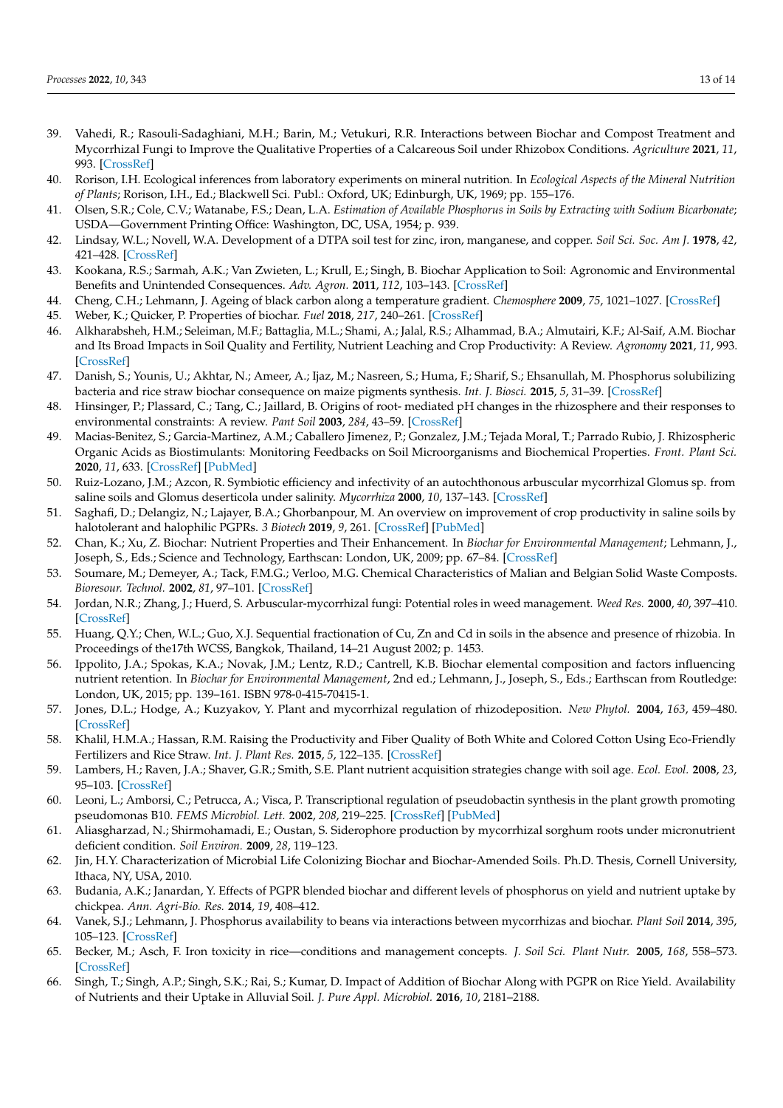- <span id="page-12-0"></span>39. Vahedi, R.; Rasouli-Sadaghiani, M.H.; Barin, M.; Vetukuri, R.R. Interactions between Biochar and Compost Treatment and Mycorrhizal Fungi to Improve the Qualitative Properties of a Calcareous Soil under Rhizobox Conditions. *Agriculture* **2021**, *11*, 993. [\[CrossRef\]](http://doi.org/10.3390/agriculture11100993)
- <span id="page-12-1"></span>40. Rorison, I.H. Ecological inferences from laboratory experiments on mineral nutrition. In *Ecological Aspects of the Mineral Nutrition of Plants*; Rorison, I.H., Ed.; Blackwell Sci. Publ.: Oxford, UK; Edinburgh, UK, 1969; pp. 155–176.
- <span id="page-12-2"></span>41. Olsen, S.R.; Cole, C.V.; Watanabe, F.S.; Dean, L.A. *Estimation of Available Phosphorus in Soils by Extracting with Sodium Bicarbonate*; USDA—Government Printing Office: Washington, DC, USA, 1954; p. 939.
- <span id="page-12-3"></span>42. Lindsay, W.L.; Novell, W.A. Development of a DTPA soil test for zinc, iron, manganese, and copper. *Soil Sci. Soc. Am J.* **1978**, *42*, 421–428. [\[CrossRef\]](http://doi.org/10.2136/sssaj1978.03615995004200030009x)
- <span id="page-12-4"></span>43. Kookana, R.S.; Sarmah, A.K.; Van Zwieten, L.; Krull, E.; Singh, B. Biochar Application to Soil: Agronomic and Environmental Benefits and Unintended Consequences. *Adv. Agron.* **2011**, *112*, 103–143. [\[CrossRef\]](http://doi.org/10.1016/B978-0-12-385538-1.00003-2)
- <span id="page-12-5"></span>44. Cheng, C.H.; Lehmann, J. Ageing of black carbon along a temperature gradient. *Chemosphere* **2009**, *75*, 1021–1027. [\[CrossRef\]](http://doi.org/10.1016/j.chemosphere.2009.01.045)
- 45. Weber, K.; Quicker, P. Properties of biochar. *Fuel* **2018**, *217*, 240–261. [\[CrossRef\]](http://doi.org/10.1016/j.fuel.2017.12.054)
- <span id="page-12-6"></span>46. Alkharabsheh, H.M.; Seleiman, M.F.; Battaglia, M.L.; Shami, A.; Jalal, R.S.; Alhammad, B.A.; Almutairi, K.F.; Al-Saif, A.M. Biochar and Its Broad Impacts in Soil Quality and Fertility, Nutrient Leaching and Crop Productivity: A Review. *Agronomy* **2021**, *11*, 993. [\[CrossRef\]](http://doi.org/10.3390/agronomy11050993)
- <span id="page-12-7"></span>47. Danish, S.; Younis, U.; Akhtar, N.; Ameer, A.; Ijaz, M.; Nasreen, S.; Huma, F.; Sharif, S.; Ehsanullah, M. Phosphorus solubilizing bacteria and rice straw biochar consequence on maize pigments synthesis. *Int. J. Biosci.* **2015**, *5*, 31–39. [\[CrossRef\]](http://doi.org/10.12692/ijb/5.12.31-39)
- <span id="page-12-8"></span>48. Hinsinger, P.; Plassard, C.; Tang, C.; Jaillard, B. Origins of root- mediated pH changes in the rhizosphere and their responses to environmental constraints: A review. *Pant Soil* **2003**, *284*, 43–59. [\[CrossRef\]](http://doi.org/10.1023/A:1022371130939)
- <span id="page-12-9"></span>49. Macias-Benitez, S.; Garcia-Martinez, A.M.; Caballero Jimenez, P.; Gonzalez, J.M.; Tejada Moral, T.; Parrado Rubio, J. Rhizospheric Organic Acids as Biostimulants: Monitoring Feedbacks on Soil Microorganisms and Biochemical Properties. *Front. Plant Sci.* **2020**, *11*, 633. [\[CrossRef\]](http://doi.org/10.3389/fpls.2020.00633) [\[PubMed\]](http://www.ncbi.nlm.nih.gov/pubmed/32547578)
- <span id="page-12-10"></span>50. Ruiz-Lozano, J.M.; Azcon, R. Symbiotic efficiency and infectivity of an autochthonous arbuscular mycorrhizal Glomus sp. from saline soils and Glomus deserticola under salinity. *Mycorrhiza* **2000**, *10*, 137–143. [\[CrossRef\]](http://doi.org/10.1007/s005720000075)
- <span id="page-12-11"></span>51. Saghafi, D.; Delangiz, N.; Lajayer, B.A.; Ghorbanpour, M. An overview on improvement of crop productivity in saline soils by halotolerant and halophilic PGPRs. *3 Biotech* **2019**, *9*, 261. [\[CrossRef\]](http://doi.org/10.1007/s13205-019-1799-0) [\[PubMed\]](http://www.ncbi.nlm.nih.gov/pubmed/31192086)
- <span id="page-12-12"></span>52. Chan, K.; Xu, Z. Biochar: Nutrient Properties and Their Enhancement. In *Biochar for Environmental Management*; Lehmann, J., Joseph, S., Eds.; Science and Technology, Earthscan: London, UK, 2009; pp. 67–84. [\[CrossRef\]](http://doi.org/10.4324/9781849770552)
- <span id="page-12-13"></span>53. Soumare, M.; Demeyer, A.; Tack, F.M.G.; Verloo, M.G. Chemical Characteristics of Malian and Belgian Solid Waste Composts. *Bioresour. Technol.* **2002**, *81*, 97–101. [\[CrossRef\]](http://doi.org/10.1016/S0960-8524(01)00125-0)
- <span id="page-12-14"></span>54. Jordan, N.R.; Zhang, J.; Huerd, S. Arbuscular-mycorrhizal fungi: Potential roles in weed management. *Weed Res.* **2000**, *40*, 397–410. [\[CrossRef\]](http://doi.org/10.1046/j.1365-3180.2000.00207.x)
- <span id="page-12-15"></span>55. Huang, Q.Y.; Chen, W.L.; Guo, X.J. Sequential fractionation of Cu, Zn and Cd in soils in the absence and presence of rhizobia. In Proceedings of the17th WCSS, Bangkok, Thailand, 14–21 August 2002; p. 1453.
- <span id="page-12-16"></span>56. Ippolito, J.A.; Spokas, K.A.; Novak, J.M.; Lentz, R.D.; Cantrell, K.B. Biochar elemental composition and factors influencing nutrient retention. In *Biochar for Environmental Management*, 2nd ed.; Lehmann, J., Joseph, S., Eds.; Earthscan from Routledge: London, UK, 2015; pp. 139–161. ISBN 978-0-415-70415-1.
- <span id="page-12-17"></span>57. Jones, D.L.; Hodge, A.; Kuzyakov, Y. Plant and mycorrhizal regulation of rhizodeposition. *New Phytol.* **2004**, *163*, 459–480. [\[CrossRef\]](http://doi.org/10.1111/j.1469-8137.2004.01130.x)
- <span id="page-12-18"></span>58. Khalil, H.M.A.; Hassan, R.M. Raising the Productivity and Fiber Quality of Both White and Colored Cotton Using Eco-Friendly Fertilizers and Rice Straw. *Int. J. Plant Res.* **2015**, *5*, 122–135. [\[CrossRef\]](http://doi.org/10.5923/j.plant.20150505.05)
- <span id="page-12-19"></span>59. Lambers, H.; Raven, J.A.; Shaver, G.R.; Smith, S.E. Plant nutrient acquisition strategies change with soil age. *Ecol. Evol.* **2008**, *23*, 95–103. [\[CrossRef\]](http://doi.org/10.1016/j.tree.2007.10.008)
- <span id="page-12-20"></span>60. Leoni, L.; Amborsi, C.; Petrucca, A.; Visca, P. Transcriptional regulation of pseudobactin synthesis in the plant growth promoting pseudomonas B10. *FEMS Microbiol. Lett.* **2002**, *208*, 219–225. [\[CrossRef\]](http://doi.org/10.1111/j.1574-6968.2002.tb11085.x) [\[PubMed\]](http://www.ncbi.nlm.nih.gov/pubmed/11959440)
- <span id="page-12-21"></span>61. Aliasgharzad, N.; Shirmohamadi, E.; Oustan, S. Siderophore production by mycorrhizal sorghum roots under micronutrient deficient condition. *Soil Environ.* **2009**, *28*, 119–123.
- <span id="page-12-22"></span>62. Jin, H.Y. Characterization of Microbial Life Colonizing Biochar and Biochar-Amended Soils. Ph.D. Thesis, Cornell University, Ithaca, NY, USA, 2010.
- <span id="page-12-23"></span>63. Budania, A.K.; Janardan, Y. Effects of PGPR blended biochar and different levels of phosphorus on yield and nutrient uptake by chickpea. *Ann. Agri-Bio. Res.* **2014**, *19*, 408–412.
- <span id="page-12-24"></span>64. Vanek, S.J.; Lehmann, J. Phosphorus availability to beans via interactions between mycorrhizas and biochar. *Plant Soil* **2014**, *395*, 105–123. [\[CrossRef\]](http://doi.org/10.1007/s11104-014-2246-y)
- <span id="page-12-25"></span>65. Becker, M.; Asch, F. Iron toxicity in rice—conditions and management concepts. *J. Soil Sci. Plant Nutr.* **2005**, *168*, 558–573. [\[CrossRef\]](http://doi.org/10.1002/jpln.200520504)
- <span id="page-12-26"></span>66. Singh, T.; Singh, A.P.; Singh, S.K.; Rai, S.; Kumar, D. Impact of Addition of Biochar Along with PGPR on Rice Yield. Availability of Nutrients and their Uptake in Alluvial Soil. *J. Pure Appl. Microbiol.* **2016**, *10*, 2181–2188.